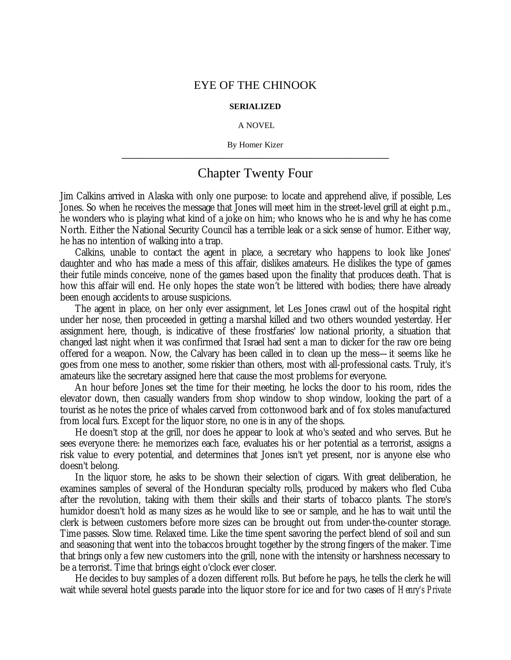## EYE OF THE CHINOOK

## **SERIALIZED**

## A NOVEL

By Homer Kizer **\_\_\_\_\_\_\_\_\_\_\_\_\_\_\_\_\_\_\_\_\_\_\_\_\_\_\_\_\_\_\_\_\_\_\_\_\_\_\_\_\_\_\_\_\_\_\_\_\_\_\_\_\_\_\_\_\_\_\_\_\_\_\_\_**

## Chapter Twenty Four

Jim Calkins arrived in Alaska with only one purpose: to locate and apprehend alive, if possible, Les Jones. So when he receives the message that Jones will meet him in the street-level grill at eight p.m., he wonders who is playing what kind of a joke on him; who knows who he is and why he has come North. Either the National Security Council has a terrible leak or a sick sense of humor. Either way, he has no intention of walking into a trap.

Calkins, unable to contact the agent in place, a secretary who happens to look like Jones' daughter and who has made a mess of this affair, dislikes amateurs. He dislikes the type of games their futile minds conceive, none of the games based upon the finality that produces death. That is how this affair will end. He only hopes the state won't be littered with bodies; there have already been enough accidents to arouse suspicions.

The agent in place, on her only ever assignment, let Les Jones crawl out of the hospital right under her nose, then proceeded in getting a marshal killed and two others wounded yesterday. Her assignment here, though, is indicative of these frostfaries' low national priority, a situation that changed last night when it was confirmed that Israel had sent a man to dicker for the raw ore being offered for a weapon. Now, the Calvary has been called in to clean up the mess— it seems like he goes from one mess to another, some riskier than others, most with all-professional casts. Truly, it's amateurs like the secretary assigned here that cause the most problems for everyone.

An hour before Jones set the time for their meeting, he locks the door to his room, rides the elevator down, then casually wanders from shop window to shop window, looking the part of a tourist as he notes the price of whales carved from cottonwood bark and of fox stoles manufactured from local furs. Except for the liquor store, no one is in any of the shops.

He doesn't stop at the grill, nor does he appear to look at who's seated and who serves. But he sees everyone there: he memorizes each face, evaluates his or her potential as a terrorist, assigns a risk value to every potential, and determines that Jones isn't yet present, nor is anyone else who doesn't belong.

In the liquor store, he asks to be shown their selection of cigars. With great deliberation, he examines samples of several of the Honduran specialty rolls, produced by makers who fled Cuba after the revolution, taking with them their skills and their starts of tobacco plants. The store's humidor doesn't hold as many sizes as he would like to see or sample, and he has to wait until the clerk is between customers before more sizes can be brought out from under-the-counter storage. Time passes. Slow time. Relaxed time. Like the time spent savoring the perfect blend of soil and sun and seasoning that went into the tobaccos brought together by the strong fingers of the maker. Time that brings only a few new customers into the grill, none with the intensity or harshness necessary to be a terrorist. Time that brings eight o'clock ever closer.

He decides to buy samples of a dozen different rolls. But before he pays, he tells the clerk he will wait while several hotel guests parade into the liquor store for ice and for two cases of *Henry's Private*